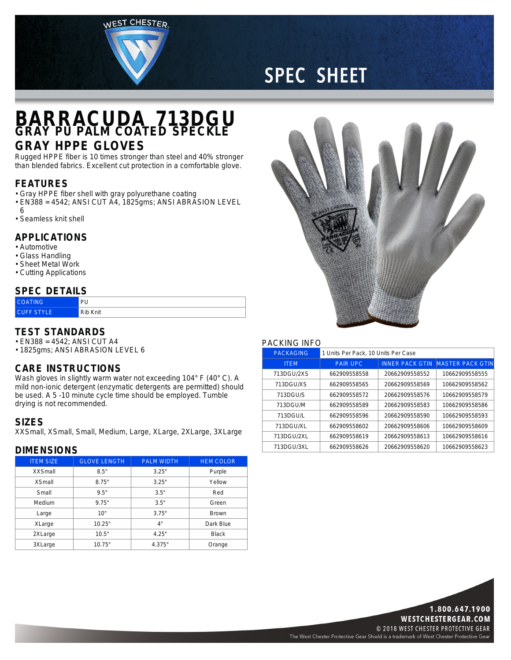WEST CHESTER



# **SPEC SHEET**

## **BARRACUDA 713DGU GRAY PU PALM COATED SPECKLE**

## **GRAY HPPE GLOVES**

Rugged HPPE fiber is 10 times stronger than steel and 40% stronger than blended fabrics. Excellent cut protection in <sup>a</sup> comfortable glove.

### **FEATURES**

- Gray HPPE fiber shell with gray polyurethane coating
- EN388 <sup>=</sup> 4542; ANSI CUT A4, 1825gms; ANSI ABRASION LEVEL
- 6
- Seamless knit shell

#### **APPLICATIONS**

- Automotive
- Glass Handling
- Sheet Metal Work
- Cutting Applications

#### **SPEC DETAILS**

| <b>COATING</b>    | PU       |
|-------------------|----------|
| <b>CHEE STYLE</b> | Rib Knit |

#### **TEST STANDARDS**

- EN388 <sup>=</sup> 4542; ANSI CUT A4
- 1825gms; ANSI ABRASION LEVEL 6

#### **CARE INSTRUCTIONS**

Wash gloves in slightly warm water not exceeding 104° F (40° C). A mild non-ionic detergent (enzymatic detergents are permitted) should be used. A 5 -10 minute cycle time should be employed. Tumble drying is not recommended.

#### **SIZES**

XXSmall, XSmall, Small, Medium, Large, XLarge, 2XLarge, 3XLarge

### **DIMENSIONS**

| <b>ITEM SIZE</b> | <b>GLOVE LENGTH</b> | <b>PALM WIDTH</b> | <b>HEM COLOR</b> |
|------------------|---------------------|-------------------|------------------|
| <b>XXSmall</b>   | 8.5"                | 3.25"             | Purple           |
| <b>XSmall</b>    | 8.75"               | 3.25"             | Yellow           |
| Small            | 9.5"                | 3.5"              | Red              |
| Medium           | 9.75"               | 3.5"              | Green            |
| Large            | 10"                 | 3.75"             | <b>Brown</b>     |
| XLarge           | 10.25"              | 4"                | Dark Blue        |
| 2XLarge          | 10.5"               | 4.25"             | <b>Black</b>     |
| 3XLarge          | 10.75"              | 4.375"            | Orange           |



#### PACKING INFO

| <b>PACKAGING</b> | 1 Units Per Pack, 10 Units Per Case |                        |                         |
|------------------|-------------------------------------|------------------------|-------------------------|
| <b>ITEM</b>      | <b>PAIR UPC</b>                     | <b>INNER PACK GTIN</b> | <b>MASTER PACK GTIN</b> |
| 713DGU/2XS       | 662909558558                        | 20662909558552         | 10662909558555          |
| 713DGU/XS        | 662909558565                        | 20662909558569         | 10662909558562          |
| 713DGU/S         | 662909558572                        | 20662909558576         | 10662909558579          |
| 713DGU/M         | 662909558589                        | 20662909558583         | 10662909558586          |
| 713DGU/L         | 662909558596                        | 20662909558590         | 10662909558593          |
| 713DGU/XL        | 662909558602                        | 20662909558606         | 10662909558609          |
| 713DGU/2XL       | 662909558619                        | 20662909558613         | 10662909558616          |
| 713DGU/3XL       | 662909558626                        | 20662909558620         | 10662909558623          |



The West Chester Protective Gear Shield is a trademark of West Chester Protective Gear